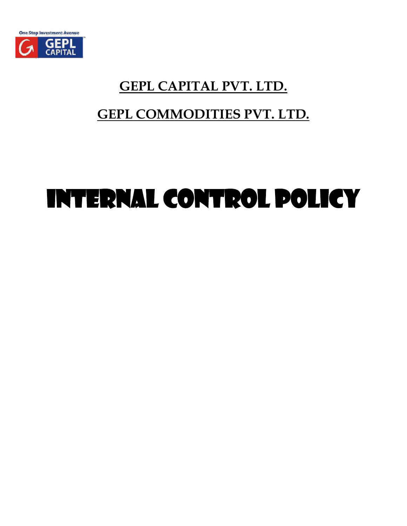

# **GEPL CAPITAL PVT. LTD.**

## **GEPL COMMODITIES PVT. LTD.**

# INTERNAL CONTROL POLICY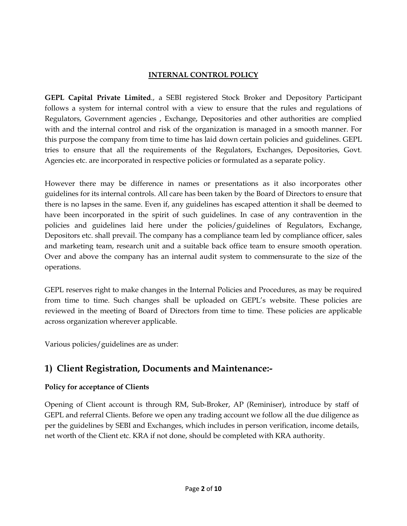#### **INTERNAL CONTROL POLICY**

**GEPL Capital Private Limited**., a SEBI registered Stock Broker and Depository Participant follows a system for internal control with a view to ensure that the rules and regulations of Regulators, Government agencies , Exchange, Depositories and other authorities are complied with and the internal control and risk of the organization is managed in a smooth manner. For this purpose the company from time to time has laid down certain policies and guidelines. GEPL tries to ensure that all the requirements of the Regulators, Exchanges, Depositories, Govt. Agencies etc. are incorporated in respective policies or formulated as a separate policy.

However there may be difference in names or presentations as it also incorporates other guidelines for its internal controls. All care has been taken by the Board of Directors to ensure that there is no lapses in the same. Even if, any guidelines has escaped attention it shall be deemed to have been incorporated in the spirit of such guidelines. In case of any contravention in the policies and guidelines laid here under the policies/guidelines of Regulators, Exchange, Depositors etc. shall prevail. The company has a compliance team led by compliance officer, sales and marketing team, research unit and a suitable back office team to ensure smooth operation. Over and above the company has an internal audit system to commensurate to the size of the operations.

GEPL reserves right to make changes in the Internal Policies and Procedures, as may be required from time to time. Such changes shall be uploaded on GEPL's website. These policies are reviewed in the meeting of Board of Directors from time to time. These policies are applicable across organization wherever applicable.

Various policies/guidelines are as under:

## **1) Client Registration, Documents and Maintenance:-**

#### **Policy for acceptance of Clients**

Opening of Client account is through RM, Sub-Broker, AP (Reminiser), introduce by staff of GEPL and referral Clients. Before we open any trading account we follow all the due diligence as per the guidelines by SEBI and Exchanges, which includes in person verification, income details, net worth of the Client etc. KRA if not done, should be completed with KRA authority.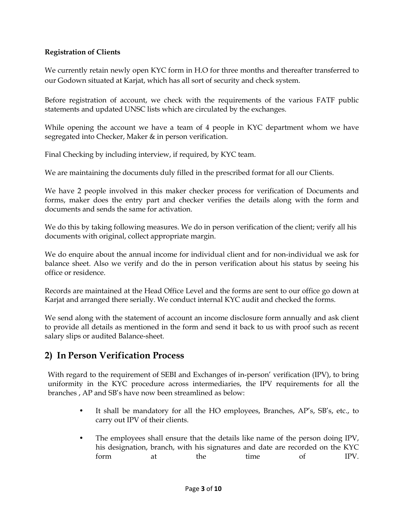#### **Registration of Clients**

We currently retain newly open KYC form in H.O for three months and thereafter transferred to our Godown situated at Karjat, which has all sort of security and check system.

Before registration of account, we check with the requirements of the various FATF public statements and updated UNSC lists which are circulated by the exchanges.

While opening the account we have a team of 4 people in KYC department whom we have segregated into Checker, Maker & in person verification.

Final Checking by including interview, if required, by KYC team.

We are maintaining the documents duly filled in the prescribed format for all our Clients.

We have 2 people involved in this maker checker process for verification of Documents and forms, maker does the entry part and checker verifies the details along with the form and documents and sends the same for activation.

We do this by taking following measures. We do in person verification of the client; verify all his documents with original, collect appropriate margin.

We do enquire about the annual income for individual client and for non-individual we ask for balance sheet. Also we verify and do the in person verification about his status by seeing his office or residence.

Records are maintained at the Head Office Level and the forms are sent to our office go down at Karjat and arranged there serially. We conduct internal KYC audit and checked the forms.

We send along with the statement of account an income disclosure form annually and ask client to provide all details as mentioned in the form and send it back to us with proof such as recent salary slips or audited Balance-sheet.

## **2) In Person Verification Process**

With regard to the requirement of SEBI and Exchanges of in-person' verification (IPV), to bring uniformity in the KYC procedure across intermediaries, the IPV requirements for all the branches , AP and SB's have now been streamlined as below:

- It shall be mandatory for all the HO employees, Branches, AP's, SB's, etc., to carry out IPV of their clients.
- The employees shall ensure that the details like name of the person doing IPV, his designation, branch, with his signatures and date are recorded on the KYC form at the time of IPV.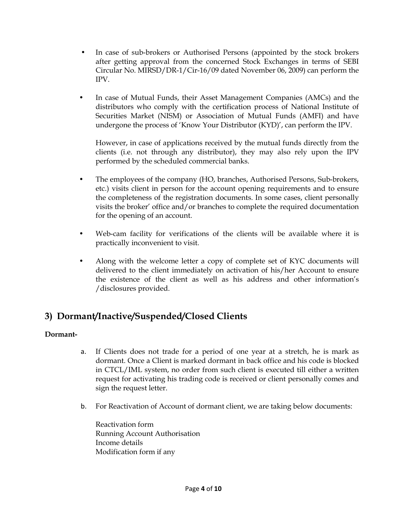- In case of sub-brokers or Authorised Persons (appointed by the stock brokers after getting approval from the concerned Stock Exchanges in terms of SEBI Circular No. MIRSD/DR-1/Cir-16/09 dated November 06, 2009) can perform the IPV.
- In case of Mutual Funds, their Asset Management Companies (AMCs) and the distributors who comply with the certification process of National Institute of Securities Market (NISM) or Association of Mutual Funds (AMFI) and have undergone the process of 'Know Your Distributor (KYD)', can perform the IPV.

However, in case of applications received by the mutual funds directly from the clients (i.e. not through any distributor), they may also rely upon the IPV performed by the scheduled commercial banks.

- The employees of the company (HO, branches, Authorised Persons, Sub-brokers, etc.) visits client in person for the account opening requirements and to ensure the completeness of the registration documents. In some cases, client personally visits the broker' office and/or branches to complete the required documentation for the opening of an account.
- Web-cam facility for verifications of the clients will be available where it is practically inconvenient to visit.
- Along with the welcome letter a copy of complete set of KYC documents will delivered to the client immediately on activation of his/her Account to ensure the existence of the client as well as his address and other information's /disclosures provided.

## **3) Dormant/Inactive/Suspended/Closed Clients**

#### **Dormant-**

- a. If Clients does not trade for a period of one year at a stretch, he is mark as dormant. Once a Client is marked dormant in back office and his code is blocked in CTCL/IML system, no order from such client is executed till either a written request for activating his trading code is received or client personally comes and sign the request letter.
- b. For Reactivation of Account of dormant client, we are taking below documents:

Reactivation form Running Account Authorisation Income details Modification form if any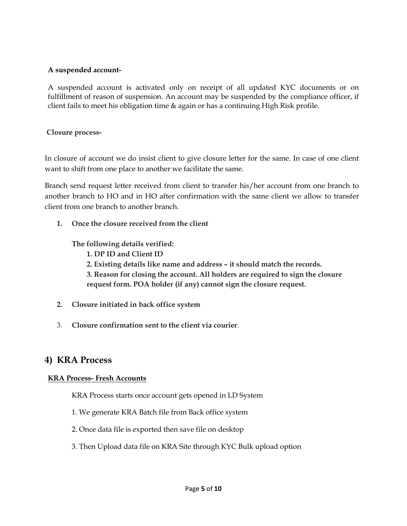#### **A suspended account-**

A suspended account is activated only on receipt of all updated KYC documents or on fulfillment of reason of suspension. An account may be suspended by the compliance officer, if client fails to meet his obligation time & again or has a continuing High Risk profile.

#### **Closure process-**

In closure of account we do insist client to give closure letter for the same. In case of one client want to shift from one place to another we facilitate the same.

Branch send request letter received from client to transfer his/her account from one branch to another branch to HO and in HO after confirmation with the same client we allow to transfer client from one branch to another branch.

**1. Once the closure received from the client** 

#### **The following details verified:**

- **1. DP ID and Client ID**
- **2. Existing details like name and address – it should match the records.**
- **3. Reason for closing the account. All holders are required to sign the closure request form. POA holder (if any) cannot sign the closure request.**
- **2. Closure initiated in back office system**
- 3. **Closure confirmation sent to the client via courier**.

#### **4) KRA Process**

#### **KRA Process- Fresh Accounts**

KRA Process starts once account gets opened in LD System

- 1. We generate KRA Batch file from Back office system
- 2. Once data file is exported then save file on desktop
- 3. Then Upload data file on KRA Site through KYC Bulk upload option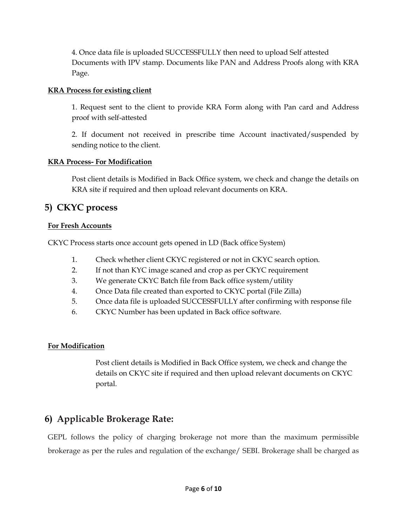4. Once data file is uploaded SUCCESSFULLY then need to upload Self attested Documents with IPV stamp. Documents like PAN and Address Proofs along with KRA Page.

#### **KRA Process for existing client**

1. Request sent to the client to provide KRA Form along with Pan card and Address proof with self-attested

2. If document not received in prescribe time Account inactivated/suspended by sending notice to the client.

#### **KRA Process- For Modification**

Post client details is Modified in Back Office system, we check and change the details on KRA site if required and then upload relevant documents on KRA.

#### **5) CKYC process**

#### **For Fresh Accounts**

CKYC Process starts once account gets opened in LD (Back office System)

- 1. Check whether client CKYC registered or not in CKYC search option.
- 2. If not than KYC image scaned and crop as per CKYC requirement
- 3. We generate CKYC Batch file from Back office system/utility
- 4. Once Data file created than exported to CKYC portal (File Zilla)
- 5. Once data file is uploaded SUCCESSFULLY after confirming with response file
- 6. CKYC Number has been updated in Back office software.

#### **For Modification**

Post client details is Modified in Back Office system, we check and change the details on CKYC site if required and then upload relevant documents on CKYC portal.

## **6) Applicable Brokerage Rate:**

GEPL follows the policy of charging brokerage not more than the maximum permissible brokerage as per the rules and regulation of the exchange/ SEBI. Brokerage shall be charged as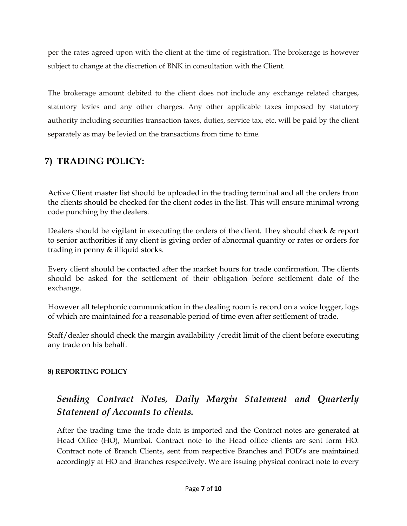per the rates agreed upon with the client at the time of registration. The brokerage is however subject to change at the discretion of BNK in consultation with the Client.

The brokerage amount debited to the client does not include any exchange related charges, statutory levies and any other charges. Any other applicable taxes imposed by statutory authority including securities transaction taxes, duties, service tax, etc. will be paid by the client separately as may be levied on the transactions from time to time.

## **7) TRADING POLICY:**

Active Client master list should be uploaded in the trading terminal and all the orders from the clients should be checked for the client codes in the list. This will ensure minimal wrong code punching by the dealers.

Dealers should be vigilant in executing the orders of the client. They should check & report to senior authorities if any client is giving order of abnormal quantity or rates or orders for trading in penny & illiquid stocks.

Every client should be contacted after the market hours for trade confirmation. The clients should be asked for the settlement of their obligation before settlement date of the exchange.

However all telephonic communication in the dealing room is record on a voice logger, logs of which are maintained for a reasonable period of time even after settlement of trade.

Staff/dealer should check the margin availability / credit limit of the client before executing any trade on his behalf.

#### **8) REPORTING POLICY**

## *Sending Contract Notes, Daily Margin Statement and Quarterly Statement of Accounts to clients.*

After the trading time the trade data is imported and the Contract notes are generated at Head Office (HO), Mumbai. Contract note to the Head office clients are sent form HO. Contract note of Branch Clients, sent from respective Branches and POD's are maintained accordingly at HO and Branches respectively. We are issuing physical contract note to every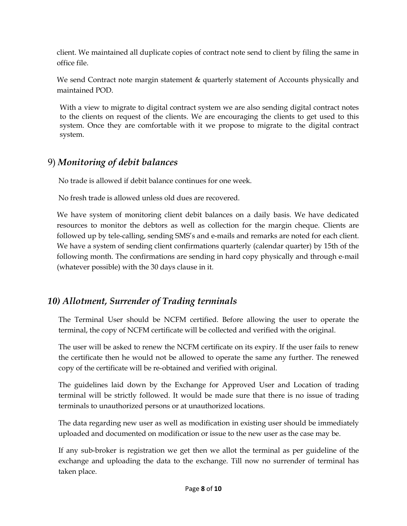client. We maintained all duplicate copies of contract note send to client by filing the same in office file.

We send Contract note margin statement & quarterly statement of Accounts physically and maintained POD.

With a view to migrate to digital contract system we are also sending digital contract notes to the clients on request of the clients. We are encouraging the clients to get used to this system. Once they are comfortable with it we propose to migrate to the digital contract system.

## 9) *Monitoring of debit balances*

No trade is allowed if debit balance continues for one week.

No fresh trade is allowed unless old dues are recovered.

We have system of monitoring client debit balances on a daily basis. We have dedicated resources to monitor the debtors as well as collection for the margin cheque. Clients are followed up by tele-calling, sending SMS's and e-mails and remarks are noted for each client. We have a system of sending client confirmations quarterly (calendar quarter) by 15th of the following month. The confirmations are sending in hard copy physically and through e-mail (whatever possible) with the 30 days clause in it.

## *10) Allotment, Surrender of Trading terminals*

The Terminal User should be NCFM certified. Before allowing the user to operate the terminal, the copy of NCFM certificate will be collected and verified with the original.

The user will be asked to renew the NCFM certificate on its expiry. If the user fails to renew the certificate then he would not be allowed to operate the same any further. The renewed copy of the certificate will be re-obtained and verified with original.

The guidelines laid down by the Exchange for Approved User and Location of trading terminal will be strictly followed. It would be made sure that there is no issue of trading terminals to unauthorized persons or at unauthorized locations.

The data regarding new user as well as modification in existing user should be immediately uploaded and documented on modification or issue to the new user as the case may be.

If any sub-broker is registration we get then we allot the terminal as per guideline of the exchange and uploading the data to the exchange. Till now no surrender of terminal has taken place.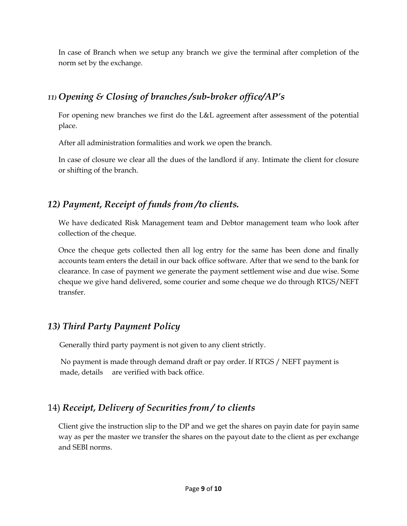In case of Branch when we setup any branch we give the terminal after completion of the norm set by the exchange.

## *11) Opening & Closing of branches /sub-broker office/AP's*

For opening new branches we first do the L&L agreement after assessment of the potential place.

After all administration formalities and work we open the branch.

In case of closure we clear all the dues of the landlord if any. Intimate the client for closure or shifting of the branch.

## *12) Payment, Receipt of funds from /to clients.*

We have dedicated Risk Management team and Debtor management team who look after collection of the cheque.

Once the cheque gets collected then all log entry for the same has been done and finally accounts team enters the detail in our back office software. After that we send to the bank for clearance. In case of payment we generate the payment settlement wise and due wise. Some cheque we give hand delivered, some courier and some cheque we do through RTGS/NEFT transfer.

## *13) Third Party Payment Policy*

Generally third party payment is not given to any client strictly.

 No payment is made through demand draft or pay order. If RTGS / NEFT payment is made, details are verified with back office.

## 14) *Receipt, Delivery of Securities from / to clients*

Client give the instruction slip to the DP and we get the shares on payin date for payin same way as per the master we transfer the shares on the payout date to the client as per exchange and SEBI norms.